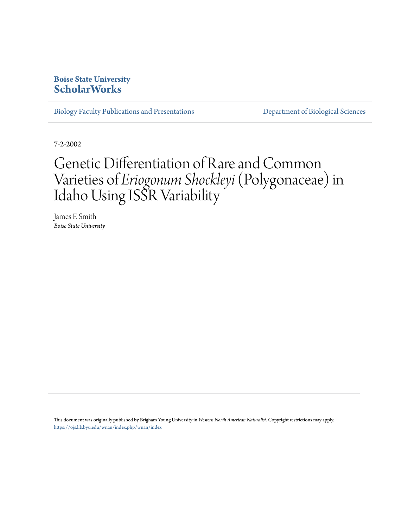# **Boise State University [ScholarWorks](https://scholarworks.boisestate.edu)**

[Biology Faculty Publications and Presentations](https://scholarworks.boisestate.edu/bio_facpubs) **[Department of Biological Sciences](https://scholarworks.boisestate.edu/biosciences)** 

7-2-2002

# Genetic Differentiation of Rare and Common Varieties of *Eriogonum Shockleyi*(Polygonaceae) in Idaho Using ISSR Variability

James F. Smith *Boise State University*

This document was originally published by Brigham Young University in *Western North American Naturalist*. Copyright restrictions may apply. <https://ojs.lib.byu.edu/wnan/index.php/wnan/index>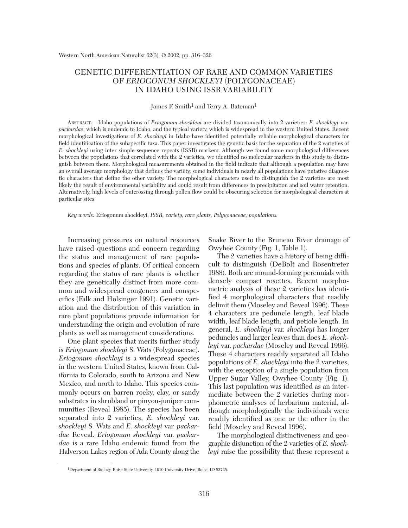# GENETIC DIFFERENTIATION OF RARE AND COMMON VARIETIES OF *ERIOGONUM SHOCKLEYI* (POLYGONACEAE) IN IDAHO USING ISSR VARIABILITY

#### James F. Smith<sup>1</sup> and Terry A. Bateman<sup>1</sup>

ABSTRACT.—Idaho populations of *Eriogonum shockleyi* are divided taxonomically into 2 varieties: *E. shockleyi* var. *packardae*, which is endemic to Idaho, and the typical variety, which is widespread in the western United States. Recent morphological investigations of *E. shockleyi* in Idaho have identified potentially reliable morphological characters for field identification of the subspecific taxa. This paper investigates the genetic basis for the separation of the 2 varieties of *E. shockleyi* using inter simple-sequence repeats (ISSR) markers. Although we found some morphological differences between the populations that correlated with the 2 varieties, we identified no molecular markers in this study to distinguish between them. Morphological measurements obtained in the field indicate that although a population may have an overall average morphology that defines the variety, some individuals in nearly all populations have putative diagnostic characters that define the other variety. The morphological characters used to distinguish the 2 varieties are most likely the result of environmental variability and could result from differences in precipitation and soil water retention. Alternatively, high levels of outcrossing through pollen flow could be obscuring selection for morphological characters at particular sites.

*Key words:* Eriogonum shockleyi, *ISSR, variety, rare plants, Polygonaceae, populations.*

Increasing pressures on natural resources have raised questions and concern regarding the status and management of rare populations and species of plants. Of critical concern regarding the status of rare plants is whether they are genetically distinct from more common and widespread congeners and conspecifics (Falk and Holsinger 1991). Genetic variation and the distribution of this variation in rare plant populations provide information for understanding the origin and evolution of rare plants as well as management considerations.

One plant species that merits further study is *Eriogonum shockleyi* S. Wats (Polygonaceae). *Eriogonum shockleyi* is a widespread species in the western United States, known from California to Colorado, south to Arizona and New Mexico, and north to Idaho. This species commonly occurs on barren rocky, clay, or sandy substrates in shrubland or pinyon-juniper communities (Reveal 1985). The species has been separated into 2 varieties, *E. shockleyi* var. *shockleyi* S. Wats and *E. shockleyi* var. *packardae* Reveal. *Eriogonum shockleyi* var. *packardae* is a rare Idaho endemic found from the Halverson Lakes region of Ada County along the Snake River to the Bruneau River drainage of Owyhee County (Fig. 1, Table 1).

The 2 varieties have a history of being difficult to distinguish (DeBolt and Rosentreter 1988). Both are mound-forming perennials with densely compact rosettes. Recent morphometric analysis of these 2 varieties has identified 4 morphological characters that readily delimit them (Moseley and Reveal 1996). These 4 characters are peduncle length, leaf blade width, leaf blade length, and petiole length. In general, *E. shockleyi* var. *shockleyi* has longer peduncles and larger leaves than does *E. shockleyi* var. *packardae* (Moseley and Reveal 1996). These 4 characters readily separated all Idaho populations of *E. shockleyi* into the 2 varieties, with the exception of a single population from Upper Sugar Valley, Owyhee County (Fig. 1). This last population was identified as an intermediate between the 2 varieties during morphometric analyses of herbarium material, although morphologically the individuals were readily identified as one or the other in the field (Moseley and Reveal 1996).

The morphological distinctiveness and geographic disjunction of the 2 varieties of *E. shockleyi* raise the possibility that these represent a

<sup>1</sup>Department of Biology, Boise State University, 1910 University Drive, Boise, ID 83725.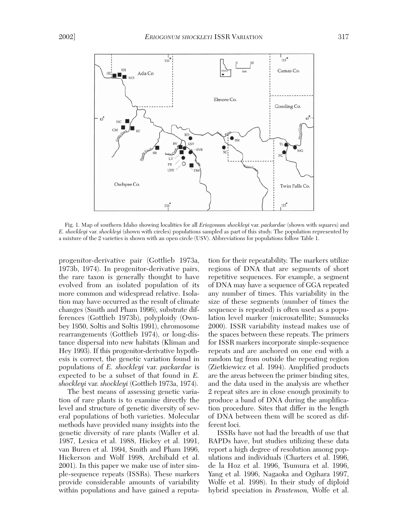

Fig. 1. Map of southern Idaho showing localities for all *Eriogonum shockleyi* var. *packardae* (shown with squares) and *E. shockleyi* var. *shockleyi* (shown with circles) populations sampled as part of this study. The population represented by a mixture of the 2 varieties is shown with an open circle (USV). Abbreviations for populations follow Table 1.

progenitor-derivative pair (Gottlieb 1973a, 1973b, 1974). In progenitor-derivative pairs, the rare taxon is generally thought to have evolved from an isolated population of its more common and widespread relative. Isolation may have occurred as the result of climate changes (Smith and Pham 1996), substrate differences (Gottlieb 1973b), polyploidy (Ownbey 1950, Soltis and Soltis 1991), chromosome rearrangements (Gottlieb 1974), or long-distance dispersal into new habitats (Kliman and Hey 1993). If this progenitor-derivative hypothesis is correct, the genetic variation found in populations of *E. shockleyi* var. *packardae* is expected to be a subset of that found in *E. shockleyi* var. *shockleyi* (Gottlieb 1973a, 1974).

The best means of assessing genetic variation of rare plants is to examine directly the level and structure of genetic diversity of several populations of both varieties. Molecular methods have provided many insights into the genetic diversity of rare plants (Waller et al. 1987, Lesica et al. 1988, Hickey et al. 1991, van Buren et al. 1994, Smith and Pham 1996, Hickerson and Wolf 1998, Archibald et al. 2001). In this paper we make use of inter simple-sequence repeats (ISSRs). These markers provide considerable amounts of variability within populations and have gained a reputation for their repeatability. The markers utilize regions of DNA that are segments of short repetitive sequences. For example, a segment of DNA may have a sequence of GGA repeated any number of times. This variability in the size of these segments (number of times the sequence is repeated) is often used as a population level marker (microsatellite; Sunnucks 2000). ISSR variability instead makes use of the spaces between these repeats. The primers for ISSR markers incorporate simple-sequence repeats and are anchored on one end with a random tag from outside the repeating region (Zietkiewicz et al. 1994). Amplified products are the areas between the primer binding sites, and the data used in the analysis are whether 2 repeat sites are in close enough proximity to produce a band of DNA during the amplification procedure. Sites that differ in the length of DNA between them will be scored as different loci.

ISSRs have not had the breadth of use that RAPDs have, but studies utilizing these data report a high degree of resolution among populations and individuals (Charters et al. 1996, de la Hoz et al. 1996, Tsumura et al. 1996, Yang et al. 1996, Nagaoka and Ogihara 1997, Wolfe et al. 1998). In their study of diploid hybrid speciation in *Penstemon,* Wolfe et al.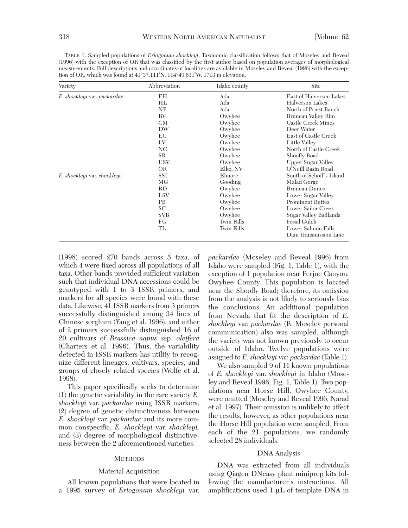| Variety                     | Abbreviation | Idaho county      | Site                     |  |
|-----------------------------|--------------|-------------------|--------------------------|--|
| E. shockleyi var. packardae | ΕH           | Ada               | East of Halverson Lakes  |  |
|                             | HL           | Ada               | Halverson Lakes          |  |
|                             | NP           | Ada               | North of Priest Ranch    |  |
|                             | BV           | Owyhee            | Bruneau Valley Rim       |  |
|                             | CМ           | Owyhee            | Castle Creek Mines       |  |
|                             | DW           | Owyhee            | Deer Water               |  |
|                             | EС           | Owyhee            | East of Castle Creek     |  |
|                             | LV           | Owyhee            | Little Valley            |  |
|                             | NC.          | Owyhee            | North of Castle Creek    |  |
|                             | <b>SR</b>    | Owyhee            | Shoofly Road             |  |
|                             | <b>USV</b>   | Owyhee            | Upper Sugar Valley       |  |
|                             | <b>OR</b>    | Elko, NV          | O'Neill Basin Road       |  |
| E. shockleyi var. shockleyi | SSI          | Elmore            | South of Schoff's Island |  |
|                             | MG.          | Gooding           | Malad Gorge              |  |
|                             | <b>BD</b>    | Owyhee            | <b>Bruneau Dunes</b>     |  |
|                             | <b>LSV</b>   | Owyhee            | Lower Sugar Valley       |  |
|                             | <b>PB</b>    | Owyhee            | <b>Prominent Buttes</b>  |  |
|                             | <b>SC</b>    | Owyhee            | Lower Sailor Creek       |  |
|                             | <b>SVB</b>   | Owyhee            | Sugar Valley Badlands    |  |
|                             | FG           | <b>Twin Falls</b> | <b>Fossil Gulch</b>      |  |
|                             | TL           | <b>Twin Falls</b> | Lower Salmon Falls       |  |
|                             |              |                   | Dam Transmission Line    |  |

TABLE 1. Sampled populations of *Eriogonum shockleyi*. Taxonomic classification follows that of Moseley and Reveal (1996) with the exception of OR that was classified by the first author based on population averages of morphological measurements. Full descriptions and coordinates of localities are available in Moseley and Reveal (1996) with the exception of OR, which was found at 41°37.111′N, 114°49.631′W, 1713 m elevation.

(1998) scored 270 bands across 5 taxa, of which 4 were fixed across all populations of all taxa. Other bands provided sufficient variation such that individual DNA accessions could be genotyped with 1 to 3 ISSR primers, and markers for all species were found with these data. Likewise, 41 ISSR markers from 3 primers successfully distinguished among 34 lines of Chinese sorghum (Yang et al. 1996), and either of 2 primers successfully distinguished 16 of 20 cultivars of *Brassica napus* ssp. *oleifera* (Charters et al. 1996). Thus, the variability detected in ISSR markers has utility to recognize different lineages, cultivars, species, and groups of closely related species (Wolfe et al. 1998).

This paper specifically seeks to determine (1) the genetic variability in the rare variety *E. shockleyi* var. *packardae* using ISSR markers, (2) degree of genetic distinctiveness between *E. shockleyi* var. *packardae* and its more common conspecific, *E. shockleyi* var. *shockleyi,* and (3) degree of morphological distinctiveness between the 2 aforementioned varieties.

#### **METHODS**

#### Material Acquisition

All known populations that were located in a 1995 survey of *Eriogonum shockleyi* var.

*packardae* (Moseley and Reveal 1996) from Idaho were sampled (Fig. 1, Table 1), with the exception of 1 population near Perjue Canyon, Owyhee County. This population is located near the Shoofly Road; therefore, its omission from the analysis is not likely to seriously bias the conclusions. An additional population from Nevada that fit the description of *E. shockleyi* var. *packardae* (R. Moseley personal communication) also was sampled, although the variety was not known previously to occur outside of Idaho. Twelve populations were assigned to *E. shockleyi* var. *packardae* (Table 1).

We also sampled 9 of 11 known populations of *E. shockleyi* var. *shockleyi* in Idaho (Moseley and Reveal 1996, Fig. 1, Table 1). Two populations near Horse Hill, Owyhee County, were omitted (Moseley and Reveal 1996, Narad et al. 1997). Their omission is unlikely to affect the results, however, as other populations near the Horse Hill population were sampled. From each of the 21 populations, we randomly selected 28 individuals.

#### DNA Analysis

DNA was extracted from all individuals using Qiagen DNeasy plant miniprep kits following the manufacturer's instructions. All amplifications used 1 μL of template DNA in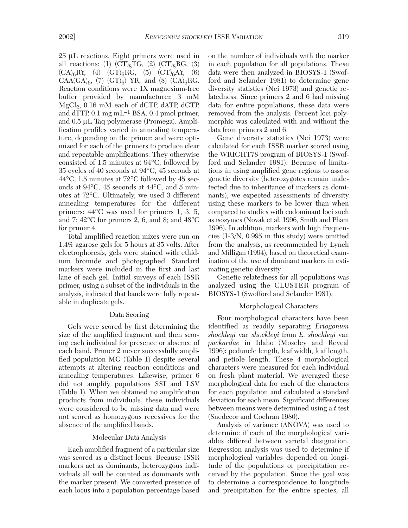25 μL reactions. Eight primers were used in all reactions: (1)  $(CT)_8TC$ , (2)  $(CT)_8RG$ , (3)  $(CA)_6RY$ , (4)  $(GT)_6RG$ , (5)  $(GT)_6AY$ , (6)  $CAA(GA)_{6}$ , (7)  $(GT)_{6}$ ) YR, and (8)  $(CA)_{6}RG$ . Reaction conditions were 1X magnesium-free buffer provided by manufacturer, 3 mM MgCl<sub>2</sub>,  $0.16$  mM each of dCTP, dATP, dGTP, and dTTP,  $0.1 \text{ mg } \text{mL}^{-1}$  BSA,  $0.4 \text{ pmol primer}$ , and 0.5 μL Taq polymerase (Promega). Amplification profiles varied in annealing temperature, depending on the primer, and were optimized for each of the primers to produce clear and repeatable amplifications. They otherwise consisted of 1.5 minutes at 94°C, followed by 35 cycles of 40 seconds at 94°C, 45 seconds at 44°C, 1.5 minutes at 72°C followed by 45 seconds at 94°C, 45 seconds at 44°C, and 5 minutes at 72°C. Ultimately, we used 3 different annealing temperatures for the different primers: 44°C was used for primers 1, 3, 5,

for primer 4. Total amplified reaction mixes were run on 1.4% agarose gels for 5 hours at 35 volts. After electrophoresis, gels were stained with ethidium bromide and photographed. Standard markers were included in the first and last lane of each gel. Initial surveys of each ISSR primer, using a subset of the individuals in the analysis, indicated that bands were fully repeatable in duplicate gels.

and 7; 42°C for primers 2, 6, and 8; and 48°C

#### Data Scoring

Gels were scored by first determining the size of the amplified fragment and then scoring each individual for presence or absence of each band. Primer 2 never successfully amplified population MG (Table 1) despite several attempts at altering reaction conditions and annealing temperatures. Likewise, primer 6 did not amplify populations SSI and LSV (Table 1). When we obtained no amplification products from individuals, these individuals were considered to be missing data and were not scored as homozygous recessives for the absence of the amplified bands.

# Molecular Data Analysis

Each amplified fragment of a particular size was scored as a distinct locus. Because ISSR markers act as dominants, heterozygous individuals all will be counted as dominants with the marker present. We converted presence of each locus into a population percentage based

on the number of individuals with the marker in each population for all populations. These data were then analyzed in BIOSYS-1 (Swofford and Selander 1981) to determine gene diversity statistics (Nei 1973) and genetic relatedness. Since primers 2 and 6 had missing data for entire populations, these data were removed from the analysis. Percent loci polymorphic was calculated with and without the data from primers 2 and 6.

Gene diversity statistics (Nei 1973) were calculated for each ISSR marker scored using the WRIGHT78 program of BIOSYS-1 (Swofford and Selander 1981). Because of limitations in using amplified gene regions to assess genetic diversity (heterozygotes remain undetected due to inheritance of markers as dominants), we expected assessments of diversity using these markers to be lower than when compared to studies with codominant loci such as isozymes (Novak et al. 1996, Smith and Pham 1996). In addition, markers with high frequencies (1-3/N, 0.995 in this study) were omitted from the analysis, as recommended by Lynch and Milligan (1994), based on theoretical examination of the use of dominant markers in estimating genetic diversity.

Genetic relatedness for all populations was analyzed using the CLUSTER program of BIOSYS-1 (Swofford and Selander 1981).

#### Morphological Characters

Four morphological characters have been identified as readily separating *Eriogonum shockleyi* var. *shockleyi* from *E. shockleyi* var. *packardae* in Idaho (Moseley and Reveal 1996): peduncle length, leaf width, leaf length, and petiole length. These 4 morphological characters were measured for each individual on fresh plant material. We averaged these morphological data for each of the characters for each population and calculated a standard deviation for each mean. Significant differences between means were determined using a *t* test (Snedecor and Cochran 1980).

Analysis of variance (ANOVA) was used to determine if each of the morphological variables differed between varietal designation. Regression analysis was used to determine if morphological variables depended on longitude of the populations or precipitation received by the population. Since the goal was to determine a correspondence to longitude and precipitation for the entire species, all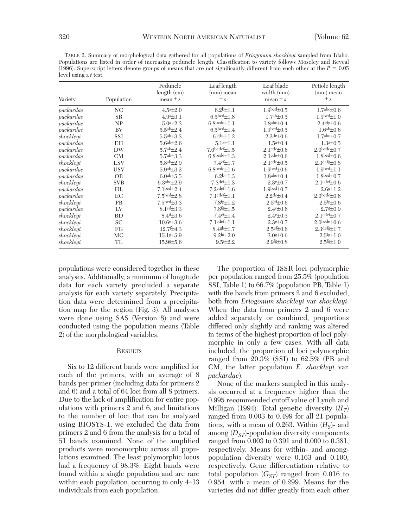TABLE 2. Summary of morphological data gathered for all populations of *Eriogonum shockleyi* sampled from Idaho. Populations are listed in order of increasing peduncle length. Classification to variety follows Moseley and Reveal (1996). Superscript letters denote groups of means that are not significantly different from each other at the *P* = 0.05 level using a *t* test.

| Variety   | Population | Peduncle<br>length (cm)<br>mean $\pm s$ | Leaf length<br>$(mm)$ mean<br>$\pm s$ | Leaf blade<br>width (mm)<br>mean $\pm s$ | Petiole length<br>(mm) mean<br>$\pm s$ |
|-----------|------------|-----------------------------------------|---------------------------------------|------------------------------------------|----------------------------------------|
| packardae | NC.        | $4.5a \pm 2.0$                          | $6.2b\pm1.1$                          | $1.9bcd \pm 0.5$                         | $1.7abc\pm 0.6$                        |
| packardae | SR         | $4.9a \pm 3.1$                          | $6.5bcd \pm 1.8$                      | $1.7ab \pm 0.5$                          | $1.9bcd \pm 1.0$                       |
| packardae | NP         | $5.0a \pm 2.3$                          | $6.8$ bcde $\pm 1.1$                  | $1.8abc \pm 0.4$                         | $2.4 \text{efg}\pm 0.6$                |
| packardae | BV         | $5.5^{ab} \pm 2.4$                      | $6.5bcd \pm 1.4$                      | $1.9bcd \pm 0.5$                         | $1.6^{ab} \pm 0.6$                     |
| shockleyi | SSI        | $5.5^{ab} \pm 3.3$                      | 6.4 $b$ c $\pm$ 1.2                   | $2.2de \pm 0.6$                          | $1.7abc\pm 0.7$                        |
| packardae | EН         | $5.6^{ab} \pm 2.6$                      | $5.1a+1.1$                            | $1.5a + 0.4$                             | $1.3a + 0.5$                           |
| packardae | DW         | $5.7ab + 2.4$                           | $7.0$ bcdef $\pm 1.5$                 | $2.1$ cde $\pm 0.6$                      | $2.0$ bcde $+0.7$                      |
| packardae | CM         | $5.7ab \pm 3.3$                         | $6.8$ bcde $\pm 1.3$                  | $2.1$ cde $\pm 0.6$                      | $1.8bcd$ $\pm 0.6$                     |
| shockleyi | <b>LSV</b> | $5.8ab + 2.9$                           | $7.4 \text{e}$ f+1.7                  | $2.1$ cde $\pm 0.5$                      | $2.3$ defg $+0.8$                      |
| packardae | <b>USV</b> | $5.9ab \pm 3.2$                         | $6.8$ bcde $\pm 1.6$                  | $1.9bcd + 0.6$                           | $1.9bcd \pm 1.1$                       |
| packardae | <b>OR</b>  | 6.0ab $\pm$ 5.5                         | $6.2b\pm1.3$                          | $1.8abc \pm 0.4$                         | $1.8bcd+0.7$                           |
| shockleyi | <b>SVB</b> | $6.3abc + 2.9$                          | $7.3^{\text{def}}\pm1.3$              | $2.3e_{\pm}0.7$                          | $2.1$ cdef $\pm 0.6$                   |
| packardae | НL         | $7.1bcd + 2.4$                          | $7.2$ cdef $\pm 1.6$                  | $1.9bcd \pm 0.7$                         | $2.6$ g $\pm$ 1.2                      |
| packardae | EC         | $7.5bcd + 2.8$                          | $7.1$ $cdef+1.1$                      | $2.2^{\text{de}}\pm 0.4$                 | $2.0$ bcde $\pm 0.6$                   |
| shockleyi | <b>PB</b>  | 7.5 <sup>bcd</sup> <sub>±3.3</sub>      | $7.8$ fg $\pm$ 1.2                    | $2.5\text{e}f \pm 0.6$                   | $2.5$ <sup>fg<math>\pm</math>0.6</sup> |
| packardae | LV         | $8.1cd \pm 3.3$                         | $7.8$ fg $\pm$ 1.5                    | $2.4e_{\pm}0.6$                          | $2.7g \pm 0.9$                         |
| shockleyi | BD         | $8.4d{\pm}3.6$                          | $7.4 \times 1.4$                      | $2.4e{\pm}0.5$                           | $2.1$ cdef $\pm 0.7$                   |
| shockleyi | SC         | $10.6e{\pm}3.6$                         | $7.1$ cdef $\pm 1.1$                  | $2.3e{\pm}0.7$                           | $2.0$ bcde $\pm 0.6$                   |
| shockleyi | FG         | $12.7f \pm 4.3$                         | $8.4$ gh $\pm$ 1.7                    | $2.5\text{e}f \pm 0.6$                   | $2.3$ defg $\pm 1.7$                   |
| shockleyi | МG         | $15.1$ $\pm 5.9$                        | $9.2hi + 2.0$                         | $3.0$ $\pm 0.6$                          | $2.5$ <sup>fg</sup> $\pm$ 1.0          |
| shockleyi | TL         | $15.9g\pm 5.6$                          | $9.5 + 2.2$                           | $2.9$ fg $\pm 0.8$                       | $2.5$ <sup>fg</sup> $\pm$ 1.0          |

populations were considered together in these analyses. Additionally, a minimum of longitude data for each variety precluded a separate analysis for each variety separately. Precipitation data were determined from a precipitation map for the region (Fig. 3). All analyses were done using SAS (Version 8) and were conducted using the population means (Table 2) of the morphological variables.

# **RESULTS**

Six to 12 different bands were amplified for each of the primers, with an average of 8 bands per primer (including data for primers 2 and 6) and a total of 64 loci from all 8 primers. Due to the lack of amplification for entire populations with primers 2 and 6, and limitations to the number of loci that can be analyzed using BIOSYS-1, we excluded the data from primers 2 and 6 from the analysis for a total of 51 bands examined. None of the amplified products were monomorphic across all populations examined. The least polymorphic locus had a frequency of 98.3%. Eight bands were found within a single population and are rare within each population, occurring in only 4–13 individuals from each population.

The proportion of ISSR loci polymorphic per population ranged from 25.5% (population SSI, Table 1) to 66.7% (population PB, Table 1) with the bands from primers 2 and 6 excluded, both from *Eriogonum shockleyi* var. *shockleyi*. When the data from primers 2 and 6 were added separately or combined, proportions differed only slightly and ranking was altered in terms of the highest proportion of loci polymorphic in only a few cases. With all data included, the proportion of loci polymorphic ranged from 20.3% (SSI) to 62.5% (PB and CM, the latter population *E. shockleyi* var. *packardae*).

None of the markers sampled in this analysis occurred at a frequency higher than the 0.995 recommended cutoff value of Lynch and Milligan (1994). Total genetic diversity  $(H_T)$ ranged from 0.003 to 0.499 for all 21 populations, with a mean of 0.263. Within  $(H<sub>S</sub>)$ - and among  $(D_{ST})$ -population diversity components ranged from 0.003 to 0.391 and 0.000 to 0.381, respectively. Means for within- and amongpopulation diversity were 0.163 and 0.100, respectively. Gene differentiation relative to total population  $(G_{ST})$  ranged from 0.016 to 0.954, with a mean of 0.299. Means for the varieties did not differ greatly from each other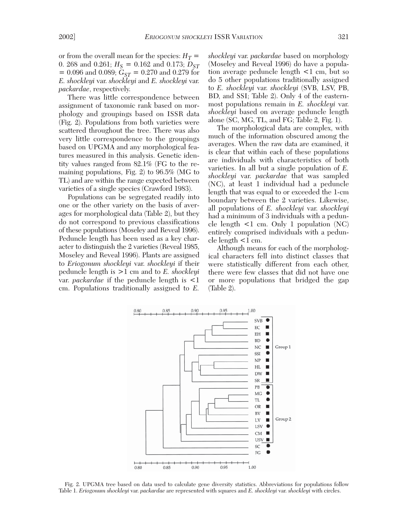or from the overall mean for the species:  $H_T =$ 0. 268 and 0.261;  $H_S = 0.162$  and 0.173;  $D_{ST}$  $= 0.096$  and 0.089;  $G_{ST} = 0.270$  and 0.279 for *E. shockleyi* var. *shockleyi* and *E. shockleyi* var. *packardae*, respectively.

There was little correspondence between assignment of taxonomic rank based on morphology and groupings based on ISSR data (Fig. 2). Populations from both varieties were scattered throughout the tree. There was also very little correspondence to the groupings based on UPGMA and any morphological features measured in this analysis. Genetic identity values ranged from 82.1% (FG to the remaining populations, Fig. 2) to 96.5% (MG to TL) and are within the range expected between varieties of a single species (Crawford 1983).

Populations can be segregated readily into one or the other variety on the basis of averages for morphological data (Table 2), but they do not correspond to previous classifications of these populations (Moseley and Reveal 1996). Peduncle length has been used as a key character to distinguish the 2 varieties (Reveal 1985, Moseley and Reveal 1996). Plants are assigned to *Eriogonum shockleyi* var. *shockleyi* if their peduncle length is >1 cm and to *E. shockleyi* var. *packardae* if the peduncle length is <1 cm. Populations traditionally assigned to *E.*

*shockleyi* var. *packardae* based on morphology (Moseley and Reveal 1996) do have a population average peduncle length <1 cm, but so do 5 other populations traditionally assigned to *E. shockleyi* var. *shockleyi* (SVB, LSV, PB, BD, and SSI; Table 2). Only 4 of the easternmost populations remain in *E. shockleyi* var. *shockleyi* based on average peduncle length alone (SC, MG, TL, and FG; Table 2, Fig. 1).

The morphological data are complex, with much of the information obscured among the averages. When the raw data are examined, it is clear that within each of these populations are individuals with characteristics of both varieties. In all but a single population of *E. shockleyi* var. *packardae* that was sampled (NC), at least 1 individual had a peduncle length that was equal to or exceeded the 1-cm boundary between the 2 varieties. Likewise, all populations of *E. shockleyi* var. *shockleyi* had a minimum of 3 individuals with a peduncle length  $\leq 1$  cm. Only 1 population (NC) entirely comprised individuals with a peduncle length  $\leq 1$  cm.

Although means for each of the morphological characters fell into distinct classes that were statistically different from each other, there were few classes that did not have one or more populations that bridged the gap (Table 2).



Fig. 2. UPGMA tree based on data used to calculate gene diversity statistics. Abbreviations for populations follow Table 1. *Eriogonum shockleyi* var. *packardae* are represented with squares and *E. shockleyi* var. *shockleyi* with circles.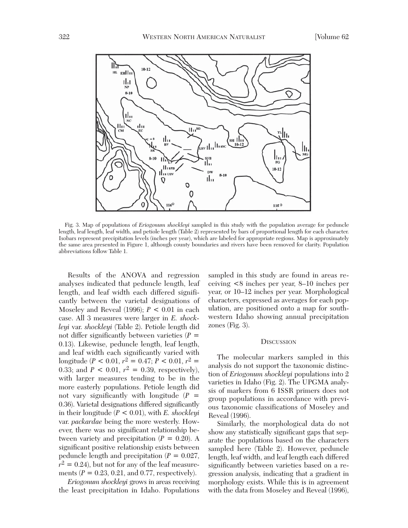

Fig. 3. Map of populations of *Eriogonum shockleyi* sampled in this study with the population average for peduncle length, leaf length, leaf width, and petiole length (Table 2) represented by bars of proportional length for each character. Isobars represent precipitation levels (inches per year), which are labeled for appropriate regions. Map is approximately the same area presented in Figure 1, although county boundaries and rivers have been removed for clarity. Population abbreviations follow Table 1.

Results of the ANOVA and regression analyses indicated that peduncle length, leaf length, and leaf width each differed significantly between the varietal designations of Moseley and Reveal (1996); *P* < 0.01 in each case. All 3 measures were larger in *E. shockleyi* var. *shockleyi* (Table 2). Petiole length did not differ significantly between varieties  $(P =$ 0.13). Likewise, peduncle length, leaf length, and leaf width each significantly varied with longitude (*P* < 0.01,  $r^2 = 0.47$ ;  $P$  < 0.01,  $r^2 =$ 0.33; and  $P < 0.01$ ,  $r^2 = 0.39$ , respectively), with larger measures tending to be in the more easterly populations. Petiole length did not vary significantly with longitude  $(P =$ 0.36). Varietal designations differed significantly in their longitude (*P* < 0.01), with *E. shockleyi* var. *packardae* being the more westerly. However, there was no significant relationship between variety and precipitation  $(P = 0.20)$ . A significant positive relationship exists between peduncle length and precipitation  $(P = 0.027)$ ,  $r^2 = 0.24$ , but not for any of the leaf measurements  $(P = 0.23, 0.21, \text{ and } 0.77, \text{ respectively}).$ 

*Eriogonum shockleyi* grows in areas receiving the least precipitation in Idaho. Populations

sampled in this study are found in areas receiving <8 inches per year, 8–10 inches per year, or 10–12 inches per year. Morphological characters, expressed as averages for each population, are positioned onto a map for southwestern Idaho showing annual precipitation zones (Fig. 3).

#### **DISCUSSION**

The molecular markers sampled in this analysis do not support the taxonomic distinction of *Eriogonum shockleyi* populations into 2 varieties in Idaho (Fig. 2). The UPGMA analysis of markers from 6 ISSR primers does not group populations in accordance with previous taxonomic classifications of Moseley and Reveal (1996).

Similarly, the morphological data do not show any statistically significant gaps that separate the populations based on the characters sampled here (Table 2). However, peduncle length, leaf width, and leaf length each differed significantly between varieties based on a regression analysis, indicating that a gradient in morphology exists. While this is in agreement with the data from Moseley and Reveal (1996),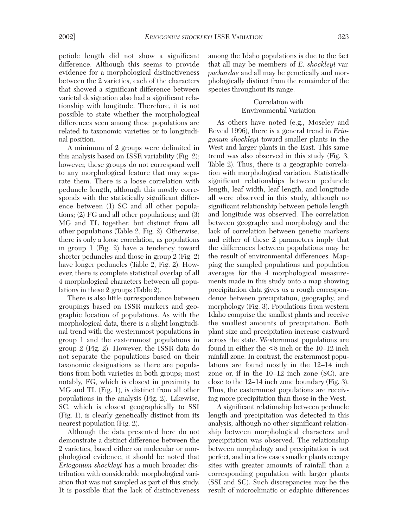petiole length did not show a significant difference. Although this seems to provide evidence for a morphological distinctiveness between the 2 varieties, each of the characters that showed a significant difference between varietal designation also had a significant relationship with longitude. Therefore, it is not possible to state whether the morphological differences seen among these populations are related to taxonomic varieties or to longitudinal position.

A minimum of 2 groups were delimited in this analysis based on ISSR variability (Fig. 2); however, these groups do not correspond well to any morphological feature that may separate them. There is a loose correlation with peduncle length, although this mostly corresponds with the statistically significant difference between (1) SC and all other populations; (2) FG and all other populations; and (3) MG and TL together, but distinct from all other populations (Table 2, Fig. 2). Otherwise, there is only a loose correlation, as populations in group 1 (Fig. 2) have a tendency toward shorter peduncles and those in group 2 (Fig. 2) have longer peduncles (Table 2, Fig. 2). However, there is complete statistical overlap of all 4 morphological characters between all populations in these 2 groups (Table 2).

There is also little correspondence between groupings based on ISSR markers and geographic location of populations. As with the morphological data, there is a slight longitudinal trend with the westernmost populations in group 1 and the easternmost populations in group 2 (Fig. 2). However, the ISSR data do not separate the populations based on their taxonomic designations as there are populations from both varieties in both groups; most notably, FG, which is closest in proximity to MG and TL (Fig. 1), is distinct from all other populations in the analysis (Fig. 2). Likewise, SC, which is closest geographically to SSI (Fig. 1), is clearly genetically distinct from its nearest population (Fig. 2).

Although the data presented here do not demonstrate a distinct difference between the 2 varieties, based either on molecular or morphological evidence, it should be noted that *Eriogonum shockleyi* has a much broader distribution with considerable morphological variation that was not sampled as part of this study. It is possible that the lack of distinctiveness

among the Idaho populations is due to the fact that all may be members of *E. shockleyi* var. *packardae* and all may be genetically and morphologically distinct from the remainder of the species throughout its range.

# Correlation with Environmental Variation

As others have noted (e.g., Moseley and Reveal 1996), there is a general trend in *Eriogonum shockleyi* toward smaller plants in the West and larger plants in the East. This same trend was also observed in this study (Fig. 3, Table 2). Thus, there is a geographic correlation with morphological variation. Statistically significant relationships between peduncle length, leaf width, leaf length, and longitude all were observed in this study, although no significant relationship between petiole length and longitude was observed. The correlation between geography and morphology and the lack of correlation between genetic markers and either of these 2 parameters imply that the differences between populations may be the result of environmental differences. Mapping the sampled populations and population averages for the 4 morphological measurements made in this study onto a map showing precipitation data gives us a rough correspondence between precipitation, geography, and morphology (Fig. 3). Populations from western Idaho comprise the smallest plants and receive the smallest amounts of precipitation. Both plant size and precipitation increase eastward across the state. Westernmost populations are found in either the <8 inch or the 10–12 inch rainfall zone. In contrast, the easternmost populations are found mostly in the 12–14 inch zone or, if in the 10–12 inch zone (SC), are close to the 12–14 inch zone boundary (Fig. 3). Thus, the easternmost populations are receiving more precipitation than those in the West.

A significant relationship between peduncle length and precipitation was detected in this analysis, although no other significant relationship between morphological characters and precipitation was observed. The relationship between morphology and precipitation is not perfect, and in a few cases smaller plants occupy sites with greater amounts of rainfall than a corresponding population with larger plants (SSI and SC). Such discrepancies may be the result of microclimatic or edaphic differences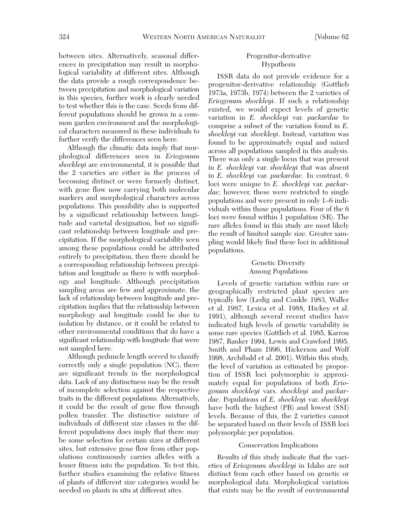between sites. Alternatively, seasonal differences in precipitation may result in morphological variability at different sites. Although the data provide a rough correspondence between precipitation and morphological variation in this species, further work is clearly needed to test whether this is the case. Seeds from different populations should be grown in a common garden environment and the morphological characters measured in these individuals to further verify the differences seen here.

Although the climatic data imply that morphological differences seen in *Eriogonum shockleyi* are environmental, it is possible that the 2 varieties are either in the process of becoming distinct or were formerly distinct, with gene flow now carrying both molecular markers and morphological characters across populations. This possibility also is supported by a significant relationship between longitude and varietal designation, but no significant relationship between longitude and precipitation. If the morphological variability seen among these populations could be attributed entirely to precipitation, then there should be a corresponding relationship between precipitation and longitude as there is with morphology and longitude. Although precipitation sampling areas are few and approximate, the lack of relationship between longitude and precipitation implies that the relationship between morphology and longitude could be due to isolation by distance, or it could be related to other environmental conditions that do have a significant relationship with longitude that were not sampled here.

Although peduncle length served to classify correctly only a single population (NC), there are significant trends in the morphological data. Lack of any distinctness may be the result of incomplete selection against the respective traits in the different populations. Alternatively, it could be the result of gene flow through pollen transfer. The distinctive mixture of individuals of different size classes in the different populations does imply that there may be some selection for certain sizes at different sites, but extensive gene flow from other populations continuously carries alleles with a lesser fitness into the population. To test this, further studies examining the relative fitness of plants of different size categories would be needed on plants in situ at different sites.

# Progenitor-derivative Hypothesis

ISSR data do not provide evidence for a progenitor-derivative relationship (Gottlieb 1973a, 1973b, 1974) between the 2 varieties of *Eriogonum shockleyi*. If such a relationship existed, we would expect levels of genetic variation in *E. shockleyi* var. *packardae* to comprise a subset of the variation found in *E. shockleyi* var. *shockleyi*. Instead, variation was found to be approximately equal and mixed across all populations sampled in this analysis. There was only a single locus that was present in *E. shockleyi* var. *shockleyi* that was absent in *E. shockleyi* var. *packardae*. In contrast, 6 loci were unique to *E. shockleyi* var. *packardae;* however, these were restricted to single populations and were present in only 1–6 individuals within those populations. Four of the 6 loci were found within 1 population (SR). The rare alleles found in this study are most likely the result of limited sample size. Greater sampling would likely find these loci in additional populations.

# Genetic Diversity Among Populations

Levels of genetic variation within rare or geographically restricted plant species are typically low (Ledig and Conkle 1983, Waller et al. 1987, Lesica et al. 1988, Hickey et al. 1991), although several recent studies have indicated high levels of genetic variability in some rare species (Gottlieb et al. 1985, Karron 1987, Ranker 1994, Lewis and Crawford 1995, Smith and Pham 1996, Hickerson and Wolf 1998, Archibald et al. 2001). Within this study, the level of variation as estimated by proportion of ISSR loci polymorphic is approximately equal for populations of both *Eriogonum shockleyi* vars. *shockleyi* and *packardae*. Populations of *E. shockleyi* var. *shockleyi* have both the highest (PB) and lowest (SSI) levels. Because of this, the 2 varieties cannot be separated based on their levels of ISSR loci polymorphic per population.

### Conservation Implications

Results of this study indicate that the varieties of *Eriogonum shockleyi* in Idaho are not distinct from each other based on genetic or morphological data. Morphological variation that exists may be the result of environmental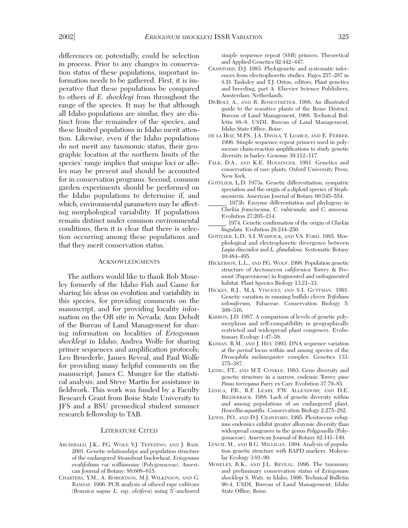differences or, potentially, could be selection in process. Prior to any changes in conservation status of these populations, important information needs to be gathered. First, it is imperative that these populations be compared to others of *E. shockleyi* from throughout the range of the species. It may be that although all Idaho populations are similar, they are distinct from the remainder of the species, and these limited populations in Idaho merit attention. Likewise, even if the Idaho populations do not merit any taxonomic status, their geographic location at the northern limits of the species' range implies that unique loci or alleles may be present and should be accounted for in conservation programs. Second, common garden experiments should be performed on the Idaho populations to determine if, and which, environmental parameters may be affecting morphological variability. If populations remain distinct under common environmental conditions, then it is clear that there is selection occurring among these populations and that they merit conservation status.

#### **ACKNOWLEDGMENTS**

The authors would like to thank Bob Moseley formerly of the Idaho Fish and Game for sharing his ideas on evolution and variability in this species, for providing comments on the manuscript, and for providing locality information on the OR site in Nevada; Ann Debolt of the Bureau of Land Management for sharing information on localities of *Eriogonum shockleyi* in Idaho; Andrea Wolfe for sharing primer sequences and amplification protocols; Leo Bruederle, James Reveal, and Paul Wolfe for providing many helpful comments on the manuscript; James C. Munger for the statistical analysis; and Steve Martin for assistance in fieldwork. This work was funded by a Faculty Research Grant from Boise State University to JFS and a BSU premedical student summer research fellowship to TAB.

#### LITERATURE CITED

- ARCHIBALD, J.K., P.G. WOLF, V.J. TEPEDINO, AND J. BAIR. 2001. Genetic relationships and population structure of the endangered Steamboat buckwheat, *Eriogonum ovalifolium* var. *williamsiae* (Polygonaceae). American Journal of Botany: 88:608–615.
- CHARTERS, Y.M., A. ROBERTSON, M.J. WILKINSON, AND G. RAMSAY. 1996. PCR analysis of oilseed rape cultivars (*Brassica napus L*. ssp. *oleifera*) using 5′-anchored

simple sequence repeat (SSR) primers. Theoretical and Applied Genetics 92:442–447.

- CRAWFORD, D.J. 1983. Phylogenetic and systematic inferences from electrophoretic studies. Pages 257–287 *in* S.D. Tanksley and T.J. Orton, editors, Plant genetics and breeding, part A. Elsevier Science Publishers, Amsterdam, Netherlands.
- DEBOLT, A., AND R. ROSENTRETER. 1988. An illustrated guide to the sensitive plants of the Boise District, Bureau of Land Management, 1988. Technical Bulletin 88–8, USDI, Bureau of Land Management, Idaho State Office, Boise.
- DE LA HOZ, M.P.S., J.A. DAVILA, Y. LOARCE, AND E. FERRER. 1996. Simple sequence repeat primers used in polymerase chain-reaction amplifications to study genetic diversity in barley. Genome 39:112–117.
- FALK, D.A., AND K.E. HOLSINGER. 1991. Genetics and conservation of rare plants. Oxford University Press, New York.
- GOTTLIEB, L.D. 1973a. Genetic differentiation, sympatric speciation and the origin of a diploid species of *Stephanomeria.* American Journal of Botany 60:545–554.
- \_\_\_\_\_\_. 1973b. Enzyme differentiation and phylogeny in *Clarkia franciscana, C. rubicunda,* and *C. amoena.* Evolution 27:205–214.
- \_\_\_\_\_\_. 1974. Genetic confirmation of the origin of *Clarkia lingulata.* Evolution 28:244–250.
- GOTTLIEB, L.D., S.I. WARWICK, AND V.S. FORD. 1985. Morphological and electrophoretic divergence between *Layia discoidea* and *L. glandulosa*. Systematic Botany 10:484–495.
- HICKERSON, L.L., AND P.G. WOLF. 1998. Population genetic structure of *Arctomecon californica* Torrey & Fremont (Papaveraceae) in fragmented and unfragmented habitat. Plant Species Biology 13:21–33.
- HICKEY, R.J., M.A. VINCENT, AND S.I. GUTTMAN. 1991. Genetic variation in running buffalo clover *Trifolium soloniferum,* Fabaceae. Conservation Biology 5: 309–316.
- KARRON, J.D. 1987. A comparison of levels of genetic polymorphism and self-compatibility in geographically restricted and widespread plant congeners. Evolutionary Ecology 1:47–58.
- KLIMAN, R.M., AND J. HEY. 1993. DNA sequence variation at the *period* locus within and among species of the *Drosophila melanogaster* complex. Genetics 133: 375–387.
- LEDIG, F.T., AND M.T. CONKLE. 1983. Gene diversity and genetic structure in a narrow, endemic Torrey pine *Pinus torreyana* Parry ex Carr. Evolution 37:79–85.
- LESICA, P.R., R.F. LEARY, F.W. ALLENDORF, AND D.E. BILDERBACK. 1988. Lack of genetic diversity within and among populations of an endangered plant, *Howellia aquatilis*. Conservation Biology 2:275–282.
- LEWIS, P.O., AND D.J. CRAWFORD. 1995. Pleistocene refugium endemics exhibit greater allozymic diversity than widespread congeners in the genus *Polygonella* (Polygonaceae). American Journal of Botany 82:141–149.
- LYNCH, M., AND B.G. MILLIGAN. 1994. Analysis of population genetic structure with RAPD markers. Molecular Ecology 3:91–99.
- MOSELEY, R.K., AND J.L. REVEAL. 1996. The taxonomy and preliminary conservation status of *Eriogonum shockleyi* S. Wats. in Idaho, 1996. Technical Bulletin 96-4, USDI, Bureau of Land Management, Idaho State Office, Boise.